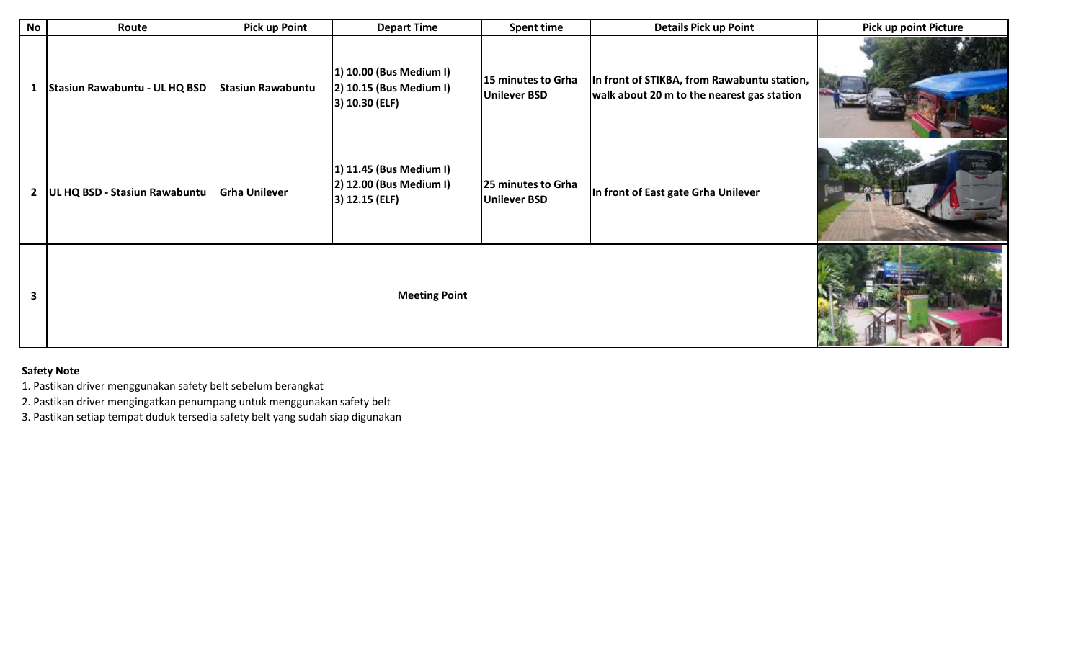| <b>No</b>      | Route                         | <b>Pick up Point</b>     | <b>Depart Time</b>                                                      | <b>Spent time</b>                         | <b>Details Pick up Point</b>                                                              | <b>Pick up point Picture</b> |
|----------------|-------------------------------|--------------------------|-------------------------------------------------------------------------|-------------------------------------------|-------------------------------------------------------------------------------------------|------------------------------|
| 1              | Stasiun Rawabuntu - UL HQ BSD | <b>Stasiun Rawabuntu</b> | 1) 10.00 (Bus Medium I)<br>2) 10.15 (Bus Medium I)<br>3) 10.30 (ELF)    | 15 minutes to Grha<br><b>Unilever BSD</b> | In front of STIKBA, from Rawabuntu station,<br>walk about 20 m to the nearest gas station |                              |
| $\overline{2}$ | UL HQ BSD - Stasiun Rawabuntu | <b>Grha Unilever</b>     | 1) 11.45 (Bus Medium I)<br>2) 12.00 (Bus Medium I)<br>$ 3)$ 12.15 (ELF) | 25 minutes to Grha<br><b>Unilever BSD</b> | In front of East gate Grha Unilever                                                       |                              |
| 3              | <b>Meeting Point</b>          |                          |                                                                         |                                           |                                                                                           |                              |

## **Safety Note**

1. Pastikan driver menggunakan safety belt sebelum berangkat

2. Pastikan driver mengingatkan penumpang untuk menggunakan safety belt

3. Pastikan setiap tempat duduk tersedia safety belt yang sudah siap digunakan